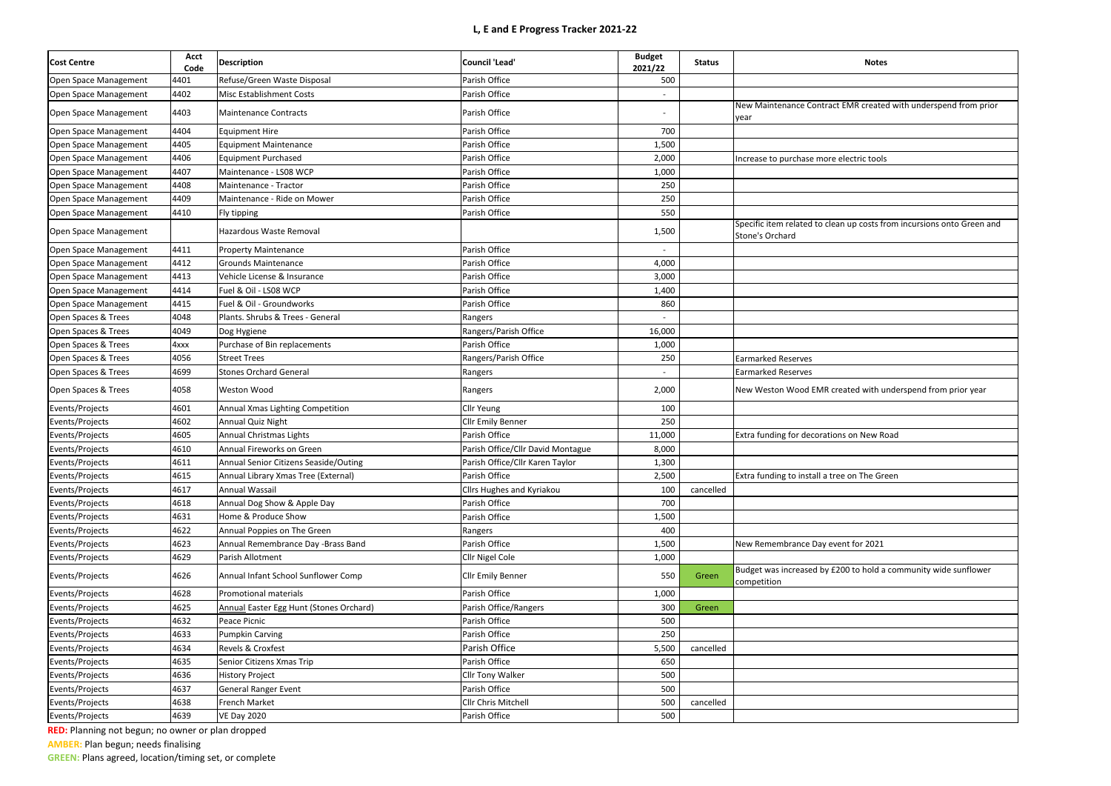| <b>Notes</b>                                                                              |
|-------------------------------------------------------------------------------------------|
|                                                                                           |
| New Maintenance Contract EMR created with underspend from prior<br>year                   |
|                                                                                           |
|                                                                                           |
| Increase to purchase more electric tools                                                  |
|                                                                                           |
|                                                                                           |
|                                                                                           |
| Specific item related to clean up costs from incursions onto Green and<br>Stone's Orchard |
|                                                                                           |
|                                                                                           |
|                                                                                           |
|                                                                                           |
|                                                                                           |
|                                                                                           |
|                                                                                           |
| <b>Earmarked Reserves</b>                                                                 |
| Earmarked Reserves                                                                        |
| New Weston Wood EMR created with underspend from prior year                               |
|                                                                                           |
|                                                                                           |
| Extra funding for decorations on New Road                                                 |
|                                                                                           |
|                                                                                           |
| Extra funding to install a tree on The Green                                              |
|                                                                                           |
|                                                                                           |
|                                                                                           |
|                                                                                           |
| New Remembrance Day event for 2021                                                        |
| Budget was increased by £200 to hold a community wide sunflower                           |
| competition                                                                               |
|                                                                                           |
|                                                                                           |
|                                                                                           |
|                                                                                           |
|                                                                                           |
|                                                                                           |
|                                                                                           |
|                                                                                           |
|                                                                                           |
|                                                                                           |

| <b>Cost Centre</b>    | <b>Acct</b><br>Code | <b>Description</b>                      | <b>Council 'Lead'</b>             | <b>Budget</b><br>2021/22 | <b>Status</b> | <b>Notes</b>                                                                          |
|-----------------------|---------------------|-----------------------------------------|-----------------------------------|--------------------------|---------------|---------------------------------------------------------------------------------------|
| Open Space Management | 4401                | Refuse/Green Waste Disposal             | Parish Office                     | 500                      |               |                                                                                       |
| Open Space Management | 4402                | Misc Establishment Costs                | Parish Office                     |                          |               |                                                                                       |
| Open Space Management | 4403                | <b>Maintenance Contracts</b>            | Parish Office                     |                          |               | New Maintenance Contract EMR created with underspend from p<br>year                   |
| Open Space Management | 4404                | <b>Equipment Hire</b>                   | Parish Office                     | 700                      |               |                                                                                       |
| Open Space Management | 4405                | <b>Equipment Maintenance</b>            | Parish Office                     | 1,500                    |               |                                                                                       |
| Open Space Management | 4406                | <b>Equipment Purchased</b>              | Parish Office                     | 2,000                    |               | Increase to purchase more electric tools                                              |
| Open Space Management | 4407                | Maintenance - LS08 WCP                  | Parish Office                     | 1,000                    |               |                                                                                       |
| Open Space Management | 4408                | Maintenance - Tractor                   | Parish Office                     | 250                      |               |                                                                                       |
| Open Space Management | 4409                | Maintenance - Ride on Mower             | Parish Office                     | 250                      |               |                                                                                       |
| Open Space Management | 4410                | Fly tipping                             | Parish Office                     | 550                      |               |                                                                                       |
| Open Space Management |                     | Hazardous Waste Removal                 |                                   | 1,500                    |               | Specific item related to clean up costs from incursions onto Green<br>Stone's Orchard |
| Open Space Management | 4411                | <b>Property Maintenance</b>             | Parish Office                     |                          |               |                                                                                       |
| Open Space Management | 4412                | <b>Grounds Maintenance</b>              | Parish Office                     | 4,000                    |               |                                                                                       |
| Open Space Management | 4413                | Vehicle License & Insurance             | Parish Office                     | 3,000                    |               |                                                                                       |
| Open Space Management | 4414                | Fuel & Oil - LS08 WCP                   | Parish Office                     | 1,400                    |               |                                                                                       |
| Open Space Management | 4415                | Fuel & Oil - Groundworks                | Parish Office                     | 860                      |               |                                                                                       |
| Open Spaces & Trees   | 4048                | Plants. Shrubs & Trees - General        | Rangers                           |                          |               |                                                                                       |
| Open Spaces & Trees   | 4049                | Dog Hygiene                             | Rangers/Parish Office             | 16,000                   |               |                                                                                       |
| Open Spaces & Trees   | 4xxx                | Purchase of Bin replacements            | Parish Office                     | 1,000                    |               |                                                                                       |
| Open Spaces & Trees   | 4056                | <b>Street Trees</b>                     | Rangers/Parish Office             | 250                      |               | <b>Earmarked Reserves</b>                                                             |
| Open Spaces & Trees   | 4699                | <b>Stones Orchard General</b>           | Rangers                           |                          |               | <b>Earmarked Reserves</b>                                                             |
| Open Spaces & Trees   | 4058                | <b>Weston Wood</b>                      | Rangers                           | 2,000                    |               | New Weston Wood EMR created with underspend from prior year                           |
| Events/Projects       | 4601                | Annual Xmas Lighting Competition        | Cllr Yeung                        | 100                      |               |                                                                                       |
| Events/Projects       | 4602                | Annual Quiz Night                       | Cllr Emily Benner                 | 250                      |               |                                                                                       |
| Events/Projects       | 4605                | Annual Christmas Lights                 | Parish Office                     | 11,000                   |               | Extra funding for decorations on New Road                                             |
| Events/Projects       | 4610                | Annual Fireworks on Green               | Parish Office/Cllr David Montague | 8,000                    |               |                                                                                       |
| Events/Projects       | 4611                | Annual Senior Citizens Seaside/Outing   | Parish Office/Cllr Karen Taylor   | 1,300                    |               |                                                                                       |
| Events/Projects       | 4615                | Annual Library Xmas Tree (External)     | Parish Office                     | 2,500                    |               | Extra funding to install a tree on The Green                                          |
| Events/Projects       | 4617                | Annual Wassail                          | Cllrs Hughes and Kyriakou         | 100                      | cancelled     |                                                                                       |
| Events/Projects       | 4618                | Annual Dog Show & Apple Day             | Parish Office                     | 700                      |               |                                                                                       |
| Events/Projects       | 4631                | Home & Produce Show                     | Parish Office                     | 1,500                    |               |                                                                                       |
| Events/Projects       | 4622                | Annual Poppies on The Green             | Rangers                           | 400                      |               |                                                                                       |
| Events/Projects       | 4623                | Annual Remembrance Day -Brass Band      | Parish Office                     | 1,500                    |               | New Remembrance Day event for 2021                                                    |
| Events/Projects       | 4629                | Parish Allotment                        | Cllr Nigel Cole                   | 1,000                    |               |                                                                                       |
| Events/Projects       | 4626                | Annual Infant School Sunflower Comp     | <b>Cllr Emily Benner</b>          | 550                      | Green         | Budget was increased by £200 to hold a community wide sunflowe<br>competition         |
| Events/Projects       | 4628                | Promotional materials                   | Parish Office                     | 1,000                    |               |                                                                                       |
| Events/Projects       | 4625                | Annual Easter Egg Hunt (Stones Orchard) | Parish Office/Rangers             | 300                      | Green         |                                                                                       |
| Events/Projects       | 4632                | Peace Picnic                            | Parish Office                     | 500                      |               |                                                                                       |
| Events/Projects       | 4633                | <b>Pumpkin Carving</b>                  | Parish Office                     | 250                      |               |                                                                                       |
| Events/Projects       | 4634                | Revels & Croxfest                       | Parish Office                     | 5,500                    | cancelled     |                                                                                       |
| Events/Projects       | 4635                | Senior Citizens Xmas Trip               | Parish Office                     | 650                      |               |                                                                                       |
| Events/Projects       | 4636                | <b>History Project</b>                  | Cllr Tony Walker                  | 500                      |               |                                                                                       |
| Events/Projects       | 4637                | <b>General Ranger Event</b>             | Parish Office                     | 500                      |               |                                                                                       |
| Events/Projects       | 4638                | French Market                           | Cllr Chris Mitchell               | 500                      | cancelled     |                                                                                       |
| Events/Projects       | 4639                | <b>VE Day 2020</b>                      | Parish Office                     | 500                      |               |                                                                                       |
|                       |                     |                                         |                                   |                          |               |                                                                                       |

**RED:** Planning not begun; no owner or plan dropped **AMBER:** Plan begun; needs finalising

**GREEN:** Plans agreed, location/timing set, or complete